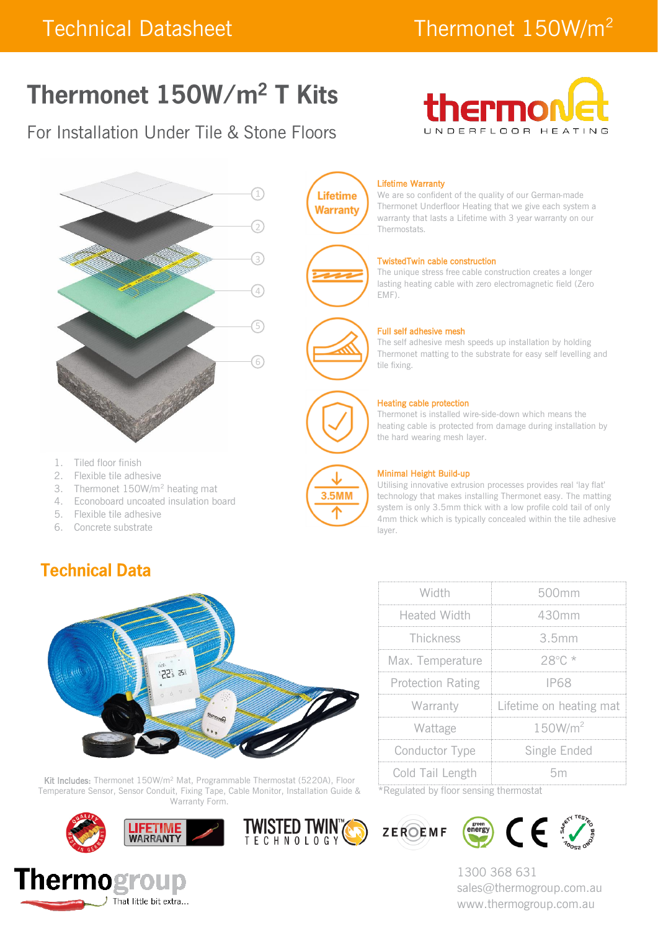# Thermonet 150W/m<sup>2</sup> T Kits

### For Installation Under Tile & Stone Floors





- 1. Tiled floor finish
- 2. Flexible tile adhesive
- 3. Thermonet 150W/m<sup>2</sup> heating mat
- 4. Econoboard uncoated insulation board
- 5. Flexible tile adhesive
- 6. Concrete substrate

### **Technical Data**



Kit Includes: Thermonet 150W/m<sup>2</sup> Mat, Programmable Thermostat (5220A), Floor Temperature Sensor, Sensor Conduit, Fixing Tape, Cable Monitor, Installation Guide & Warranty Form.









We are so confident of the quality of our German-made Thermonet Underfloor Heating that we give each system a warranty that lasts a Lifetime with 3 year warranty on our Thermostats.

#### TwistedTwin cable construction

The unique stress free cable construction creates a longer lasting heating cable with zero electromagnetic field (Zero EMF).



**Lifetime Warranty** 

#### Full self adhesive mesh

The self adhesive mesh speeds up installation by holding Thermonet matting to the substrate for easy self levelling and tile fixing.

#### Heating cable protection

Thermonet is installed wire-side-down which means the heating cable is protected from damage during installation by the hard wearing mesh layer.



**TWISTED TWINTS** 

#### Minimal Height Build-up

Utilising innovative extrusion processes provides real 'lay flat' technology that makes installing Thermonet easy. The matting system is only 3.5mm thick with a low profile cold tail of only 4mm thick which is typically concealed within the tile adhesive layer.

| Width                    | 500mm                   |  |
|--------------------------|-------------------------|--|
| <b>Heated Width</b>      | 430mm                   |  |
| Thickness                | 3.5mm                   |  |
| Max. Temperature         | $28^\circ$ C *          |  |
| <b>Protection Rating</b> | IP68                    |  |
| Warranty                 | Lifetime on heating mat |  |
| Wattage                  | 150W/m <sup>2</sup>     |  |
| Conductor Type           | Single Ended            |  |
| Cold Tail Length         | 5m                      |  |

\*Regulated by floor sensing thermostat





1300 368 631 sales@thermogroup.com.au www.thermogroup.com.au